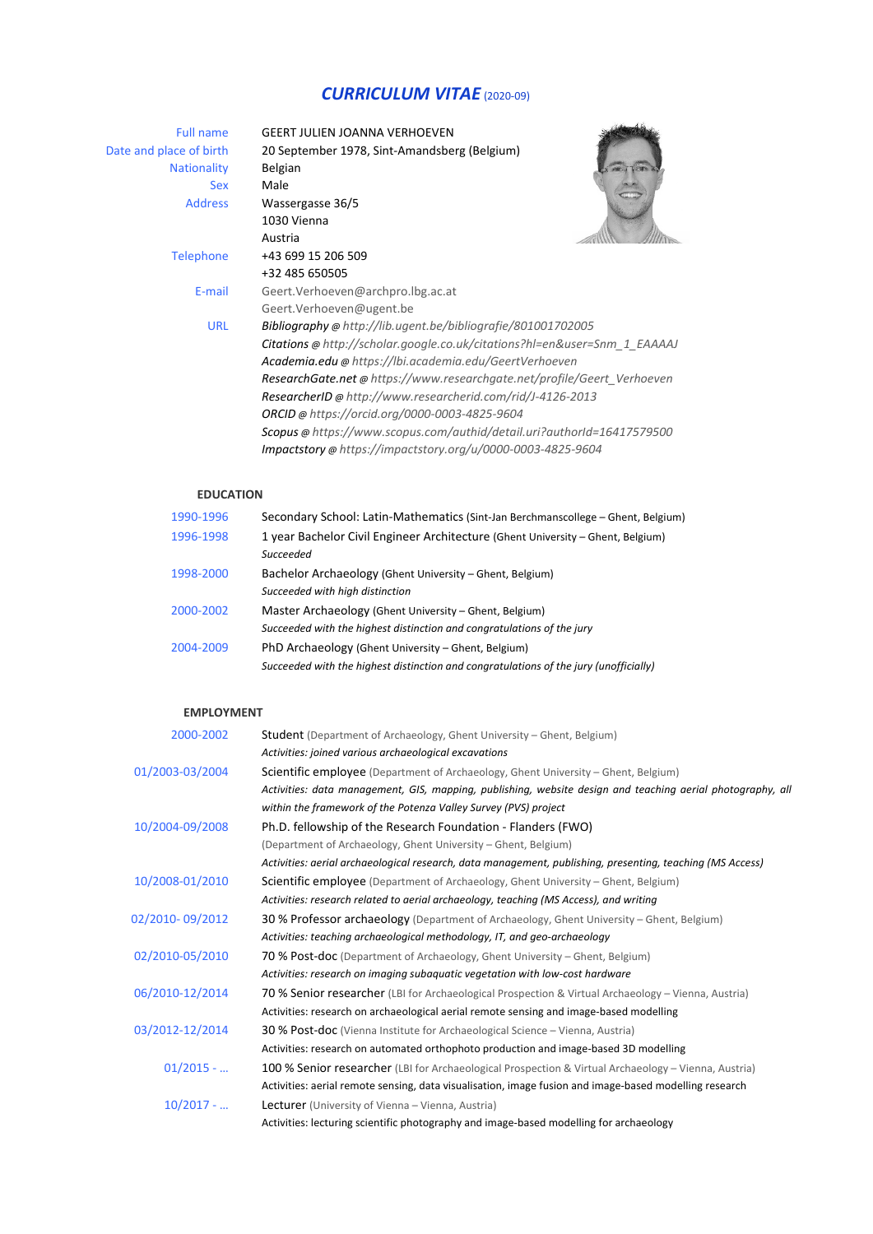# *CURRICULUM VITAE* (2020-09)

| <b>Full name</b>        | <b>GEERT JULIEN JOANNA VERHOEVEN</b>                                      |
|-------------------------|---------------------------------------------------------------------------|
| Date and place of birth | 20 September 1978, Sint-Amandsberg (Belgium)                              |
| <b>Nationality</b>      | Belgian                                                                   |
| Sex                     | Male                                                                      |
| <b>Address</b>          | Wassergasse 36/5                                                          |
|                         | 1030 Vienna                                                               |
|                         | Austria                                                                   |
| <b>Telephone</b>        | +43 699 15 206 509                                                        |
|                         | +32 485 650505                                                            |
| E-mail                  | Geert. Verhoeven@archpro.lbg.ac.at                                        |
|                         | Geert. Verhoeven@ugent.be                                                 |
| <b>URL</b>              | Bibliography @ http://lib.ugent.be/bibliografie/801001702005              |
|                         | Citations @ http://scholar.google.co.uk/citations?hl=en&user=Snm 1 EAAAAJ |
|                         | Academia.edu @ https://lbi.academia.edu/GeertVerhoeven                    |
|                         | ResearchGate.net @ https://www.researchgate.net/profile/Geert Verhoeven   |
|                         | ResearcherID @ http://www.researcherid.com/rid/J-4126-2013                |
|                         | ORCID @ https://orcid.org/0000-0003-4825-9604                             |
|                         | Scopus @ https://www.scopus.com/authid/detail.uri?authorld=16417579500    |
|                         | Impactstory @ https://impactstory.org/u/0000-0003-4825-9604               |

## **EDUCATION**

| Secondary School: Latin-Mathematics (Sint-Jan Berchmanscollege – Ghent, Belgium)      |
|---------------------------------------------------------------------------------------|
| 1 year Bachelor Civil Engineer Architecture (Ghent University – Ghent, Belgium)       |
| Succeeded                                                                             |
| Bachelor Archaeology (Ghent University – Ghent, Belgium)                              |
| Succeeded with high distinction                                                       |
| Master Archaeology (Ghent University – Ghent, Belgium)                                |
| Succeeded with the highest distinction and congratulations of the jury                |
| PhD Archaeology (Ghent University – Ghent, Belgium)                                   |
| Succeeded with the highest distinction and congratulations of the jury (unofficially) |
|                                                                                       |

#### **EMPLOYMENT**

| 2000-2002       | <b>Student</b> (Department of Archaeology, Ghent University – Ghent, Belgium)                              |
|-----------------|------------------------------------------------------------------------------------------------------------|
|                 | Activities: joined various archaeological excavations                                                      |
| 01/2003-03/2004 | Scientific employee (Department of Archaeology, Ghent University - Ghent, Belgium)                         |
|                 | Activities: data management, GIS, mapping, publishing, website design and teaching aerial photography, all |
|                 | within the framework of the Potenza Valley Survey (PVS) project                                            |
| 10/2004-09/2008 | Ph.D. fellowship of the Research Foundation - Flanders (FWO)                                               |
|                 | (Department of Archaeology, Ghent University - Ghent, Belgium)                                             |
|                 | Activities: aerial archaeological research, data management, publishing, presenting, teaching (MS Access)  |
| 10/2008-01/2010 | <b>Scientific employee</b> (Department of Archaeology, Ghent University – Ghent, Belgium)                  |
|                 | Activities: research related to aerial archaeology, teaching (MS Access), and writing                      |
| 02/2010-09/2012 | 30 % Professor archaeology (Department of Archaeology, Ghent University – Ghent, Belgium)                  |
|                 | Activities: teaching archaeological methodology, IT, and geo-archaeology                                   |
| 02/2010-05/2010 | 70 % Post-doc (Department of Archaeology, Ghent University – Ghent, Belgium)                               |
|                 | Activities: research on imaging subaquatic vegetation with low-cost hardware                               |
| 06/2010-12/2014 | 70 % Senior researcher (LBI for Archaeological Prospection & Virtual Archaeology – Vienna, Austria)        |
|                 | Activities: research on archaeological aerial remote sensing and image-based modelling                     |
| 03/2012-12/2014 | <b>30 % Post-doc</b> (Vienna Institute for Archaeological Science – Vienna, Austria)                       |
|                 | Activities: research on automated orthophoto production and image-based 3D modelling                       |
| $01/2015 - $    | 100 % Senior researcher (LBI for Archaeological Prospection & Virtual Archaeology - Vienna, Austria)       |
|                 | Activities: aerial remote sensing, data visualisation, image fusion and image-based modelling research     |
| $10/2017 - $    | <b>Lecturer</b> (University of Vienna – Vienna, Austria)                                                   |
|                 | Activities: lecturing scientific photography and image-based modelling for archaeology                     |
|                 |                                                                                                            |